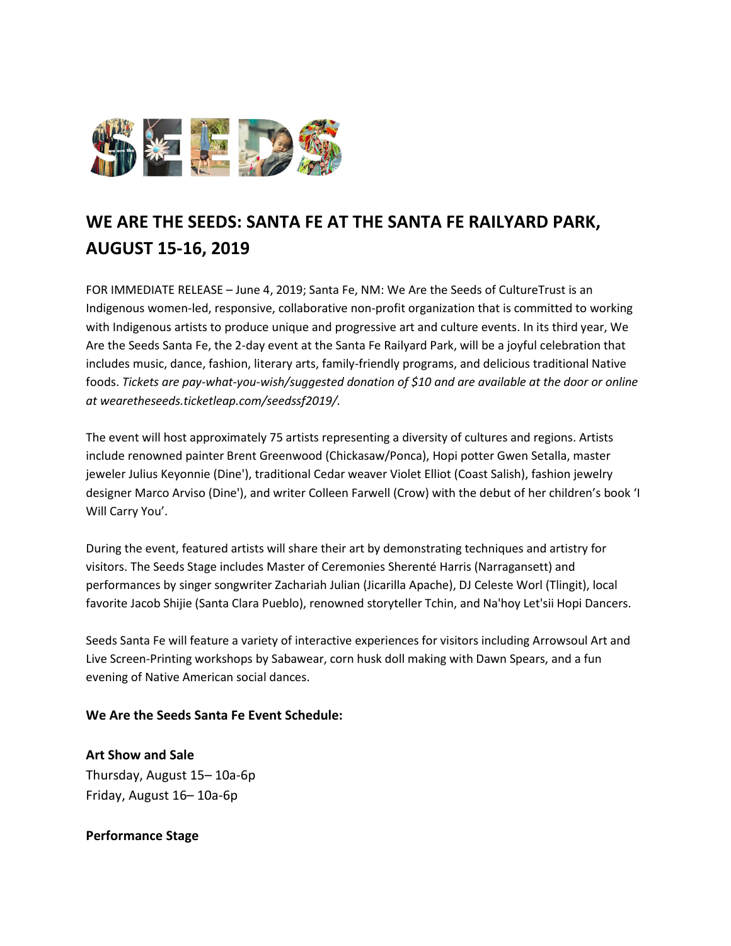

# **WE ARE THE SEEDS: SANTA FE AT THE SANTA FE RAILYARD PARK, AUGUST 15-16, 2019**

FOR IMMEDIATE RELEASE – June 4, 2019; Santa Fe, NM: We Are the Seeds of CultureTrust is an Indigenous women-led, responsive, collaborative non-profit organization that is committed to working with Indigenous artists to produce unique and progressive art and culture events. In its third year, We Are the Seeds Santa Fe, the 2-day event at the Santa Fe Railyard Park, will be a joyful celebration that includes music, dance, fashion, literary arts, family-friendly programs, and delicious traditional Native foods. *Tickets are pay-what-you-wish/suggested donation of \$10 and are available at the door or online at wearetheseeds.ticketleap.com/seedssf2019/.*

The event will host approximately 75 artists representing a diversity of cultures and regions. Artists include renowned painter Brent Greenwood (Chickasaw/Ponca), Hopi potter Gwen Setalla, master jeweler Julius Keyonnie (Dine'), traditional Cedar weaver Violet Elliot (Coast Salish), fashion jewelry designer Marco Arviso (Dine'), and writer Colleen Farwell (Crow) with the debut of her children's book 'I Will Carry You'.

During the event, featured artists will share their art by demonstrating techniques and artistry for visitors. The Seeds Stage includes Master of Ceremonies Sherenté Harris (Narragansett) and performances by singer songwriter Zachariah Julian (Jicarilla Apache), DJ Celeste Worl (Tlingit), local favorite Jacob Shijie (Santa Clara Pueblo), renowned storyteller Tchin, and Na'hoy Let'sii Hopi Dancers.

Seeds Santa Fe will feature a variety of interactive experiences for visitors including Arrowsoul Art and Live Screen-Printing workshops by Sabawear, corn husk doll making with Dawn Spears, and a fun evening of Native American social dances.

#### **We Are the Seeds Santa Fe Event Schedule:**

**Art Show and Sale** Thursday, August 15– 10a-6p Friday, August 16– 10a-6p

#### **Performance Stage**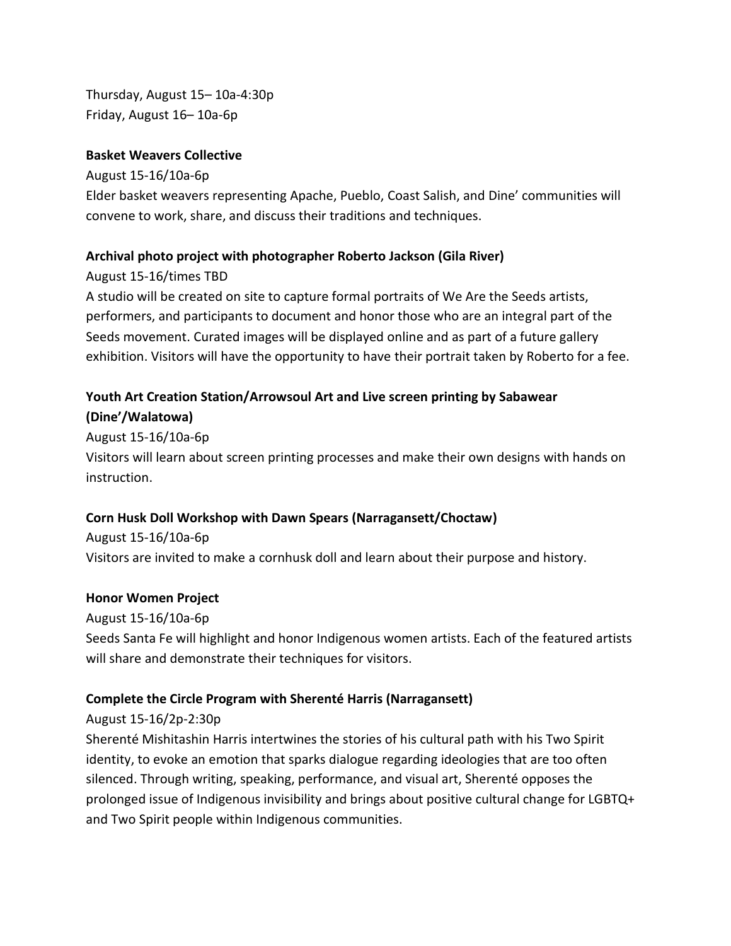Thursday, August 15– 10a-4:30p Friday, August 16– 10a-6p

#### **Basket Weavers Collective**

August 15-16/10a-6p Elder basket weavers representing Apache, Pueblo, Coast Salish, and Dine' communities will convene to work, share, and discuss their traditions and techniques.

## **Archival photo project with photographer Roberto Jackson (Gila River)**

August 15-16/times TBD

A studio will be created on site to capture formal portraits of We Are the Seeds artists, performers, and participants to document and honor those who are an integral part of the Seeds movement. Curated images will be displayed online and as part of a future gallery exhibition. Visitors will have the opportunity to have their portrait taken by Roberto for a fee.

# **Youth Art Creation Station/Arrowsoul Art and Live screen printing by Sabawear (Dine'/Walatowa)**

August 15-16/10a-6p

Visitors will learn about screen printing processes and make their own designs with hands on instruction.

# **Corn Husk Doll Workshop with Dawn Spears (Narragansett/Choctaw)**

August 15-16/10a-6p Visitors are invited to make a cornhusk doll and learn about their purpose and history.

## **Honor Women Project**

August 15-16/10a-6p Seeds Santa Fe will highlight and honor Indigenous women artists. Each of the featured artists will share and demonstrate their techniques for visitors.

# **Complete the Circle Program with Sherenté Harris (Narragansett)**

# August 15-16/2p-2:30p

Sherenté Mishitashin Harris intertwines the stories of his cultural path with his Two Spirit identity, to evoke an emotion that sparks dialogue regarding ideologies that are too often silenced. Through writing, speaking, performance, and visual art, Sherenté opposes the prolonged issue of Indigenous invisibility and brings about positive cultural change for LGBTQ+ and Two Spirit people within Indigenous communities.